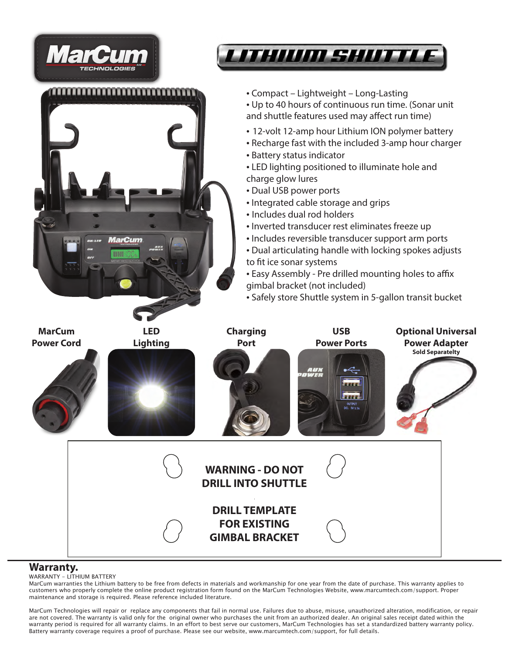

#### **Warranty.**

#### WARRANTY - LITHIUM BATTERY

MarCum warranties the Lithium battery to be free from defects in materials and workmanship for one year from the date of purchase. This warranty applies to customers who properly complete the online product registration form found on the MarCum Technologies Website, www.marcumtech.com/support. Proper maintenance and storage is required. Please reference included literature.

MarCum Technologies will repair or replace any components that fail in normal use. Failures due to abuse, misuse, unauthorized alteration, modification, or repair are not covered. The warranty is valid only for the original owner who purchases the unit from an authorized dealer. An original sales receipt dated within the warranty period is required for all warranty claims. In an effort to best serve our customers, MarCum Technologies has set a standardized battery warranty policy. Battery warranty coverage requires a proof of purchase. Please see our website, www.marcumtech.com/support, for full details.